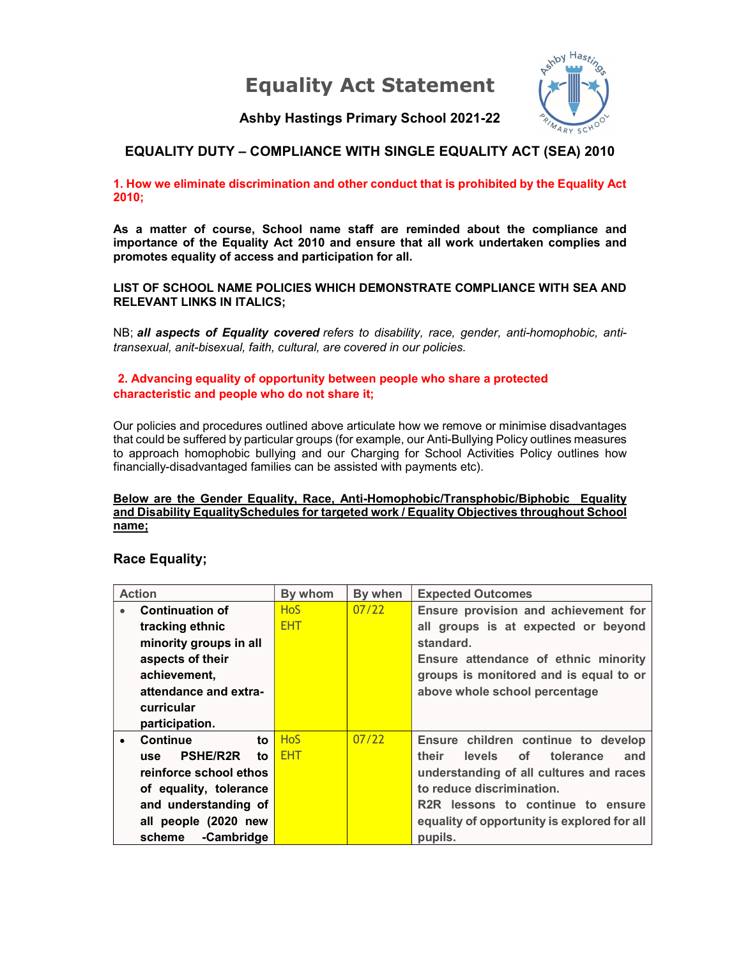Equality Act Statement



Ashby Hastings Primary School 2021-22

## EQUALITY DUTY – COMPLIANCE WITH SINGLE EQUALITY ACT (SEA) 2010

1. How we eliminate discrimination and other conduct that is prohibited by the Equality Act 2010;

As a matter of course, School name staff are reminded about the compliance and importance of the Equality Act 2010 and ensure that all work undertaken complies and promotes equality of access and participation for all.

LIST OF SCHOOL NAME POLICIES WHICH DEMONSTRATE COMPLIANCE WITH SEA AND RELEVANT LINKS IN ITALICS;

NB; all aspects of Equality covered refers to disability, race, gender, anti-homophobic, antitransexual, anit-bisexual, faith, cultural, are covered in our policies.

#### 2. Advancing equality of opportunity between people who share a protected characteristic and people who do not share it;

Our policies and procedures outlined above articulate how we remove or minimise disadvantages that could be suffered by particular groups (for example, our Anti-Bullying Policy outlines measures to approach homophobic bullying and our Charging for School Activities Policy outlines how financially-disadvantaged families can be assisted with payments etc).

#### Below are the Gender Equality, Race, Anti-Homophobic/Transphobic/Biphobic Equality and Disability EqualitySchedules for targeted work / Equality Objectives throughout School name;

### Race Equality;

| <b>Action</b>                      | By whom    | By when | <b>Expected Outcomes</b>                       |  |
|------------------------------------|------------|---------|------------------------------------------------|--|
| <b>Continuation of</b>             | <b>HoS</b> | 07/22   | Ensure provision and achievement for           |  |
| tracking ethnic                    | <b>EHT</b> |         | all groups is at expected or beyond            |  |
| minority groups in all             |            |         | standard.                                      |  |
| aspects of their                   |            |         | Ensure attendance of ethnic minority           |  |
| achievement,                       |            |         | groups is monitored and is equal to or         |  |
| attendance and extra-              |            |         | above whole school percentage                  |  |
| curricular                         |            |         |                                                |  |
| participation.                     |            |         |                                                |  |
| <b>Continue</b><br>to<br>$\bullet$ | <b>HoS</b> | 07/22   | Ensure children continue to develop            |  |
| <b>PSHE/R2R</b><br>to.<br>use      | <b>EHT</b> |         | their<br>tolerance<br>levels<br>of<br>and      |  |
| reinforce school ethos             |            |         | understanding of all cultures and races        |  |
| of equality, tolerance             |            |         | to reduce discrimination.                      |  |
| and understanding of               |            |         | R <sub>2</sub> R lessons to continue to ensure |  |
| all people (2020 new               |            |         | equality of opportunity is explored for all    |  |
| -Cambridge<br>scheme               |            |         | pupils.                                        |  |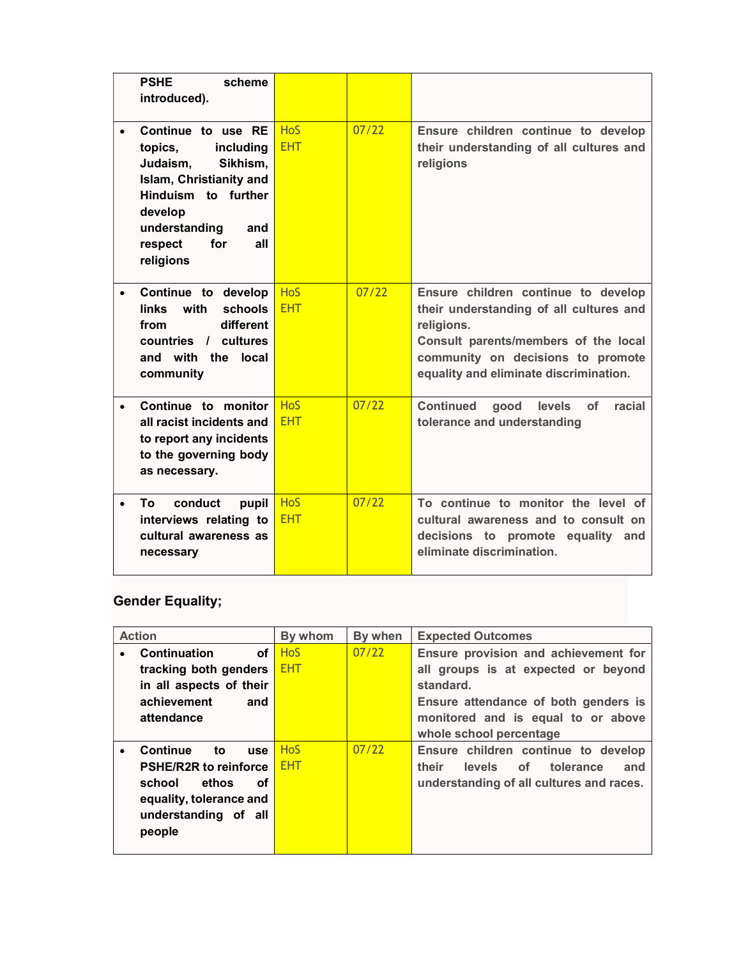|           | <b>PSHE</b><br>scheme<br>introduced).                                                                                                                                                         |                          |       |                                                                                                                                                                                                                     |
|-----------|-----------------------------------------------------------------------------------------------------------------------------------------------------------------------------------------------|--------------------------|-------|---------------------------------------------------------------------------------------------------------------------------------------------------------------------------------------------------------------------|
|           | Continue to use RE<br>topics,<br>including<br>Judaism,<br>Sikhism,<br>Islam, Christianity and<br>Hinduism to further<br>develop<br>understanding<br>and<br>for<br>respect<br>all<br>religions | <b>HoS</b><br><b>EHT</b> | 07/22 | Ensure children continue to develop<br>their understanding of all cultures and<br>religions                                                                                                                         |
| $\bullet$ | Continue to develop<br>schools<br>links with<br>different<br>from<br>countries / cultures<br>and with the local<br>community                                                                  | <b>HoS</b><br><b>EHT</b> | 07/22 | Ensure children continue to develop<br>their understanding of all cultures and<br>religions.<br>Consult parents/members of the local<br>community on decisions to promote<br>equality and eliminate discrimination. |
| $\bullet$ | Continue to monitor<br>all racist incidents and<br>to report any incidents<br>to the governing body<br>as necessary.                                                                          | <b>HoS</b><br><b>EHT</b> | 07/22 | <b>Continued</b><br>good<br>levels<br>of<br>racial<br>tolerance and understanding                                                                                                                                   |
|           | conduct<br>To.<br>pupil<br>interviews relating to<br>cultural awareness as<br>necessary                                                                                                       | <b>HoS</b><br><b>EHT</b> | 07/22 | To continue to monitor the level of<br>cultural awareness and to consult on<br>decisions to promote equality and<br>eliminate discrimination.                                                                       |

# Gender Equality;

| <b>Action</b>           |                                     | By whom    | By when | <b>Expected Outcomes</b>                           |  |  |
|-------------------------|-------------------------------------|------------|---------|----------------------------------------------------|--|--|
| $\bullet$               | οf<br><b>Continuation</b>           | <b>HoS</b> | 07/22   | Ensure provision and achievement for               |  |  |
| tracking both genders   |                                     | <b>EHT</b> |         | all groups is at expected or beyond                |  |  |
| in all aspects of their |                                     |            |         | standard.                                          |  |  |
| achievement<br>and      |                                     |            |         | Ensure attendance of both genders is               |  |  |
|                         | attendance                          |            |         | monitored and is equal to or above                 |  |  |
|                         |                                     |            |         | whole school percentage                            |  |  |
| $\bullet$               | <b>Continue</b><br>to<br><b>use</b> | <b>HoS</b> | 07/22   | Ensure children continue to develop                |  |  |
|                         | <b>PSHE/R2R to reinforce</b>        | <b>EHT</b> |         | their<br>of l<br>tolerance<br><b>levels</b><br>and |  |  |
|                         | ethos<br>school<br>оf               |            |         | understanding of all cultures and races.           |  |  |
|                         | equality, tolerance and             |            |         |                                                    |  |  |
|                         | understanding of all                |            |         |                                                    |  |  |
|                         | people                              |            |         |                                                    |  |  |
|                         |                                     |            |         |                                                    |  |  |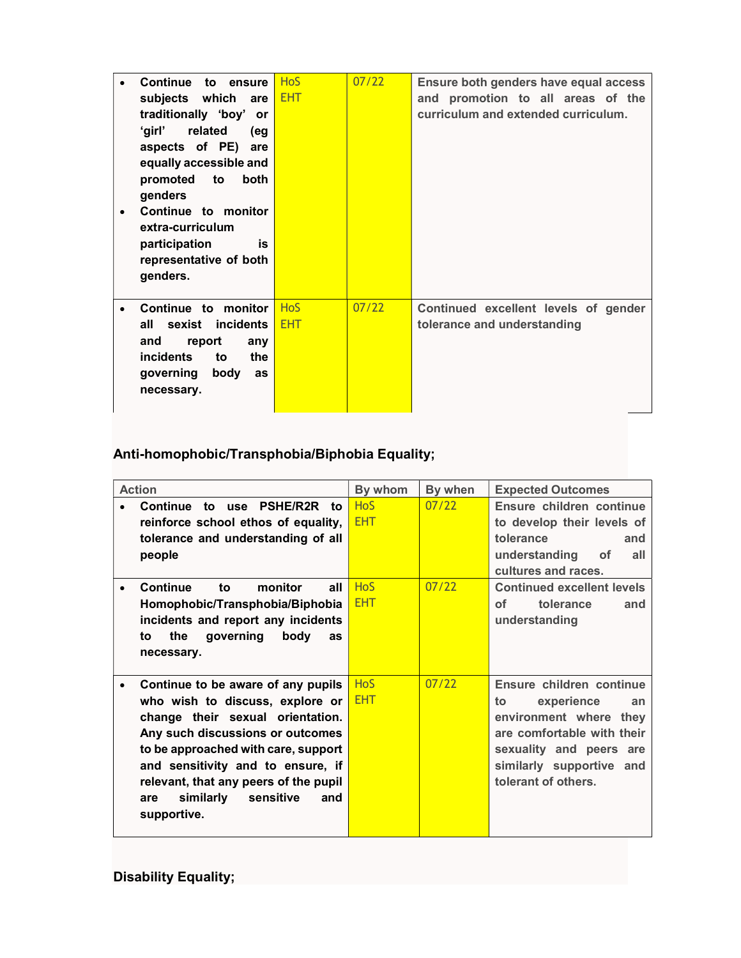|           | Continue to ensure            | <b>HoS</b> | 07/22 | Ensure both genders have equal access |  |  |
|-----------|-------------------------------|------------|-------|---------------------------------------|--|--|
|           | subjects which are            | <b>EHT</b> |       | and promotion to all areas of the     |  |  |
|           | traditionally 'boy' or        |            |       | curriculum and extended curriculum.   |  |  |
|           | 'girl'<br>related<br>(eg      |            |       |                                       |  |  |
|           | aspects of PE) are            |            |       |                                       |  |  |
|           | equally accessible and        |            |       |                                       |  |  |
|           | promoted to<br><b>both</b>    |            |       |                                       |  |  |
|           | genders                       |            |       |                                       |  |  |
| $\bullet$ | Continue to monitor           |            |       |                                       |  |  |
|           | extra-curriculum              |            |       |                                       |  |  |
|           | participation<br>is           |            |       |                                       |  |  |
|           | representative of both        |            |       |                                       |  |  |
|           | genders.                      |            |       |                                       |  |  |
|           |                               |            |       |                                       |  |  |
| $\bullet$ | Continue to monitor           | <b>HoS</b> | 07/22 | Continued excellent levels of gender  |  |  |
|           | sexist incidents<br>all       | <b>EHT</b> |       | tolerance and understanding           |  |  |
|           | and<br>report<br>any          |            |       |                                       |  |  |
|           | <i>incidents</i><br>to<br>the |            |       |                                       |  |  |
|           | governing<br>body<br>as       |            |       |                                       |  |  |
|           | necessary.                    |            |       |                                       |  |  |
|           |                               |            |       |                                       |  |  |

# Anti-homophobic/Transphobia/Biphobia Equality;

| <b>Action</b>                                                                                                                                                                                                                                                                                                             | By whom                  | By when | <b>Expected Outcomes</b>                                                                                                                                                                 |
|---------------------------------------------------------------------------------------------------------------------------------------------------------------------------------------------------------------------------------------------------------------------------------------------------------------------------|--------------------------|---------|------------------------------------------------------------------------------------------------------------------------------------------------------------------------------------------|
| Continue to use PSHE/R2R to<br>reinforce school ethos of equality,<br>tolerance and understanding of all<br>people                                                                                                                                                                                                        | <b>HoS</b><br>EHT.       | 07/22   | Ensure children continue<br>to develop their levels of<br>tolerance<br>and<br>understanding<br>οf<br>all<br>cultures and races.                                                          |
| Continue<br>to to<br>monitor<br>all<br>Homophobic/Transphobia/Biphobia<br>incidents and report any incidents<br>the<br>qoverning<br>body<br>to<br><b>as</b><br>necessary.                                                                                                                                                 | <b>HoS</b><br><b>EHT</b> | 07/22   | <b>Continued excellent levels</b><br>Ωf<br>tolerance<br>and<br>understanding                                                                                                             |
| Continue to be aware of any pupils<br>who wish to discuss, explore or<br>change their sexual orientation.<br>Any such discussions or outcomes<br>to be approached with care, support<br>and sensitivity and to ensure, if<br>relevant, that any peers of the pupil<br>similarly<br>sensitive<br>and<br>are<br>supportive. | <b>HoS</b><br><b>EHT</b> | 07/22   | Ensure children continue<br>experience<br>to<br>an<br>environment where they<br>are comfortable with their<br>sexuality and peers are<br>similarly supportive and<br>tolerant of others. |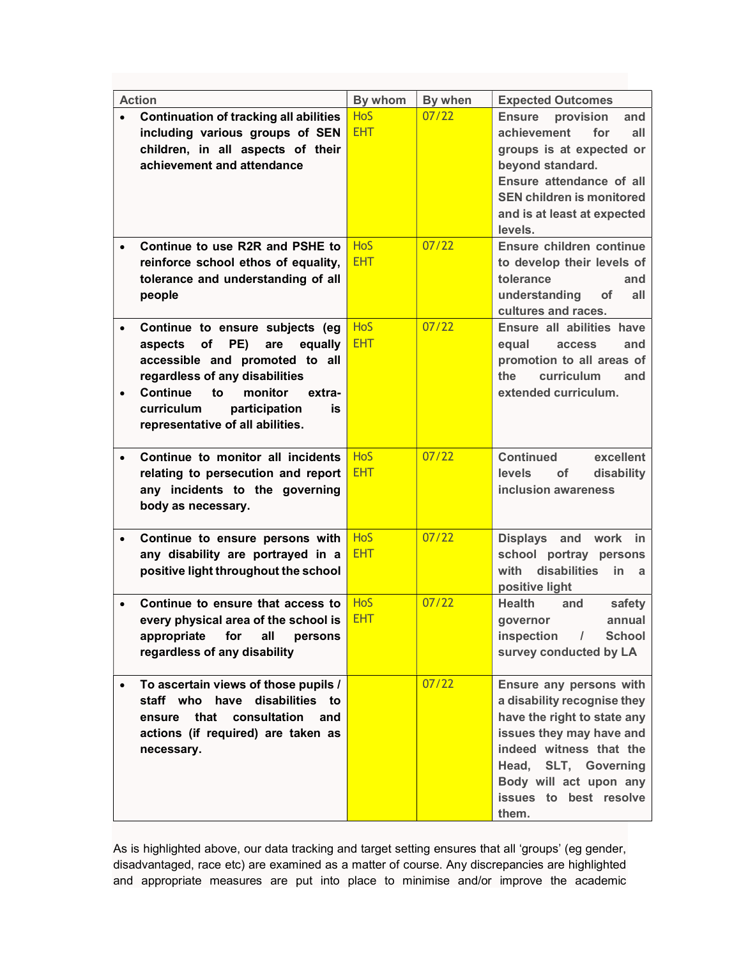| <b>Action</b>                                                                                                                                                                                                                                                       |                         | By whom                  | By when | <b>Expected Outcomes</b>                                                                                                                                                                                                             |
|---------------------------------------------------------------------------------------------------------------------------------------------------------------------------------------------------------------------------------------------------------------------|-------------------------|--------------------------|---------|--------------------------------------------------------------------------------------------------------------------------------------------------------------------------------------------------------------------------------------|
| <b>Continuation of tracking all abilities</b><br>$\bullet$<br>including various groups of SEN<br>children, in all aspects of their<br>achievement and attendance                                                                                                    |                         | <b>HoS</b><br><b>EHT</b> | 07/22   | <b>Ensure</b><br>provision<br>and<br>for<br>achievement<br>all<br>groups is at expected or<br>beyond standard.<br>Ensure attendance of all<br><b>SEN children is monitored</b><br>and is at least at expected<br>levels.             |
| Continue to use R2R and PSHE to<br>$\bullet$<br>reinforce school ethos of equality,<br>tolerance and understanding of all<br>people                                                                                                                                 |                         | <b>HoS</b><br><b>EHT</b> | 07/22   | Ensure children continue<br>to develop their levels of<br>tolerance<br>and<br>understanding<br><b>of</b><br>all<br>cultures and races.                                                                                               |
| Continue to ensure subjects (eg<br>$\bullet$<br>of<br>PE)<br>aspects<br>are<br>accessible and promoted to all<br>regardless of any disabilities<br><b>Continue</b><br>monitor<br>to<br>$\bullet$<br>curriculum<br>participation<br>representative of all abilities. | equally<br>extra-<br>is | <b>HoS</b><br><b>EHT</b> | 07/22   | Ensure all abilities have<br>equal<br><b>access</b><br>and<br>promotion to all areas of<br>curriculum<br>the<br>and<br>extended curriculum.                                                                                          |
| Continue to monitor all incidents<br>$\bullet$<br>relating to persecution and report<br>any incidents to the governing<br>body as necessary.                                                                                                                        |                         | <b>HoS</b><br><b>EHT</b> | 07/22   | <b>Continued</b><br>excellent<br><b>levels</b><br>disability<br><b>of</b><br>inclusion awareness                                                                                                                                     |
| Continue to ensure persons with<br>$\bullet$<br>any disability are portrayed in a<br>positive light throughout the school                                                                                                                                           |                         | <b>HoS</b><br><b>EHT</b> | 07/22   | Displays and<br>work<br>in<br>school portray persons<br>with<br>disabilities<br>in.<br>- a<br>positive light                                                                                                                         |
| Continue to ensure that access to<br>$\bullet$<br>every physical area of the school is<br>appropriate<br>for<br>all<br>regardless of any disability                                                                                                                 | persons                 | <b>HoS</b><br><b>EHT</b> | 07/22   | <b>Health</b><br>safety<br>and<br>annual<br>qovernor<br>inspection<br><b>School</b><br>$\prime$<br>survey conducted by LA                                                                                                            |
| To ascertain views of those pupils /<br>staff who have disabilities to<br>that<br>consultation<br>ensure<br>actions (if required) are taken as<br>necessary.                                                                                                        | and                     |                          | 07/22   | Ensure any persons with<br>a disability recognise they<br>have the right to state any<br>issues they may have and<br>indeed witness that the<br>Head,<br>SLT, Governing<br>Body will act upon any<br>issues to best resolve<br>them. |

As is highlighted above, our data tracking and target setting ensures that all 'groups' (eg gender, disadvantaged, race etc) are examined as a matter of course. Any discrepancies are highlighted and appropriate measures are put into place to minimise and/or improve the academic